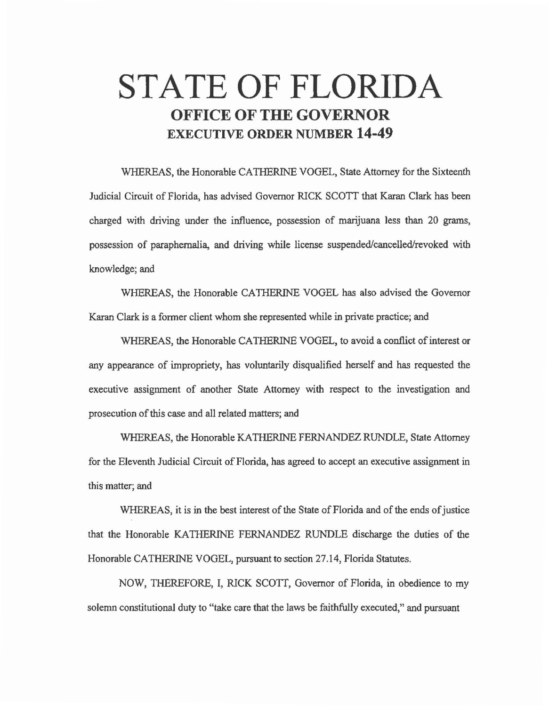# **STATE OF FLORIDA OFFICE OF THE GOVERNOR EXECUTIVE ORDER NUMBER 14-49**

WHEREAS, the Honorable CATHERINE VOGEL, State Attorney for the Sixteenth Judicial Circuit of Florida, has advised Governor RICK SCOTT that Karan Clark has been charged with driving under the influence, possession of marijuana less than 20 grams, possession of paraphernalia, and driving while license suspended/cancelled/revoked with knowledge; and

WHEREAS, the Honorable CATHERINE VOGEL has also advised the Governor Karan Clark is a former client whom she represented while in private practice; and

WHEREAS, the Honorable CATHERINE VOGEL, to avoid a conflict of interest or any appearance of impropriety, has voluntarily disqualified herself and has requested the executive assignment of another State Attorney with respect to the investigation and prosecution of this case and all related matters; and

WHEREAS, the Honorable KATHERINE FERNANDEZ RUNDLE, State Attorney for the Eleventh Judicial Circuit of Florida, has agreed to accept an executive assignment in this matter; and

WHEREAS, it is in the best interest of the State of Florida and of the ends of justice that the Honorable KATHERINE FERNANDEZ RUNDLE discharge the duties of the Honorable CATHERINE VOGEL, pursuant to section 27 .14, Florida Statutes.

NOW, THEREFORE, I, RlCK SCOTT, Governor of Florida, in obedience to my solemn constitutional duty to "take care that the laws be faithfully executed," and pursuant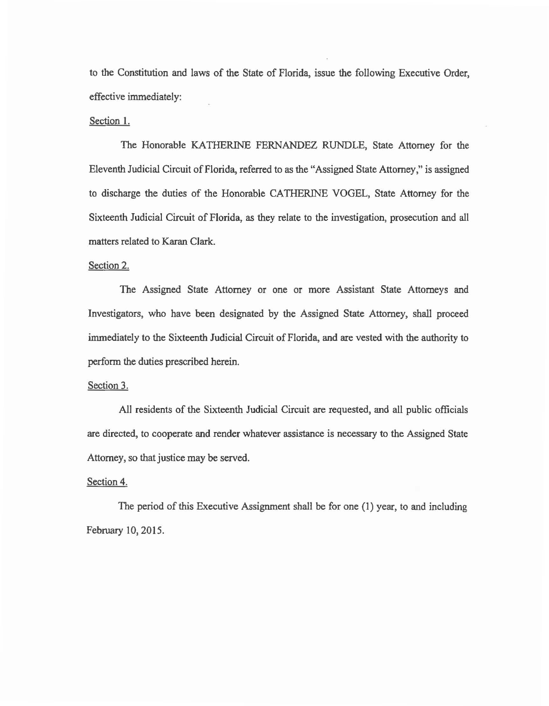to the Constitution and laws of the State of Florida, issue the following Executive Order, effective immediately:

## Section I.

The Honorable KATHERlNE FERNANDEZ RUNDLE, State Attorney for the Eleventh Judicial Circuit of Florida, referred to as the "Assigned State Attorney," is assigned to discharge the duties of the Honorable CATHERINE VOGEL, State Attorney for the Sixteenth Judicial Circuit of Florida, as they relate to the investigation, prosecution and all matters related to Karan Clark.

## Section 2.

The Assigned State Attorney or one or more Assistant State Attorneys and Investigators, who have been designated by the Assigned State Attorney, shall proceed immediately to the Sixteenth Judicial Circuit of Florida, and are vested with the authority to perform the duties prescribed herein.

#### Section 3.

All residents of the Sixteenth Judicial Circuit are requested, and all public officials are directed, to cooperate and render whatever assistance is necessary to the Assigned State Attorney, so that justice may be served.

### Section 4.

The period of this Executive Assignment shall be for one (1) year, to and including February 10, 2015.